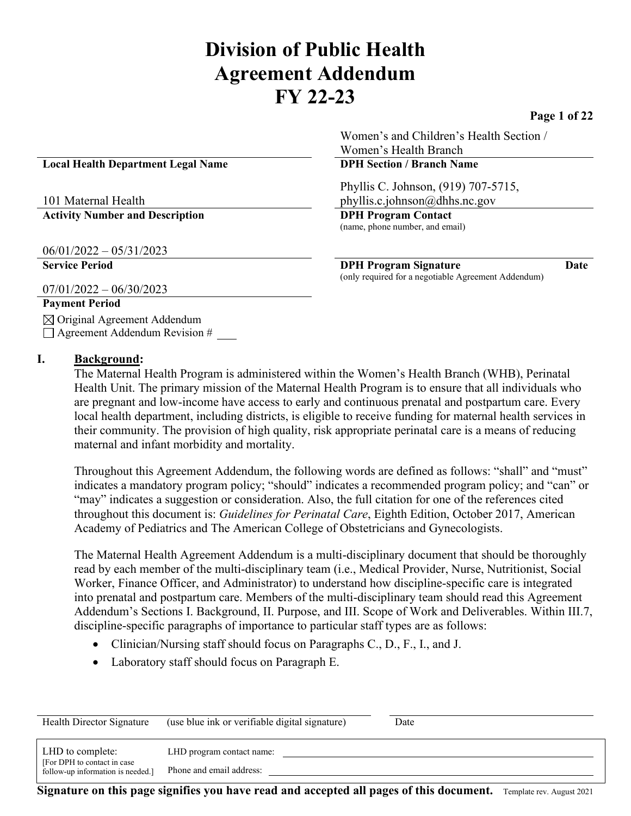# **Division of Public Health Agreement Addendum FY 22-23**

#### **Page 1 of 22**

Women's and Children's Health Section / Women's Health Branch

Phyllis C. Johnson, (919) 707-5715, phyllis.c.johnson@dhhs.nc.gov

(name, phone number, and email)

**Service Period DPH Program Signature Date** (only required for a negotiable Agreement Addendum)

**Local Health Department Legal Name DPH Section / Branch Name**

101 Maternal Health **Activity Number and Description DPH Program Contact**

06/01/2022 – 05/31/2023

07/01/2022 – 06/30/2023

#### **Payment Period**

 $\boxtimes$  Original Agreement Addendum  $\Box$  Agreement Addendum Revision #

#### **I. Background:**

The Maternal Health Program is administered within the Women's Health Branch (WHB), Perinatal Health Unit. The primary mission of the Maternal Health Program is to ensure that all individuals who are pregnant and low-income have access to early and continuous prenatal and postpartum care. Every local health department, including districts, is eligible to receive funding for maternal health services in their community. The provision of high quality, risk appropriate perinatal care is a means of reducing maternal and infant morbidity and mortality.

Throughout this Agreement Addendum, the following words are defined as follows: "shall" and "must" indicates a mandatory program policy; "should" indicates a recommended program policy; and "can" or "may" indicates a suggestion or consideration. Also, the full citation for one of the references cited throughout this document is: *Guidelines for Perinatal Care*, Eighth Edition, October 2017, American Academy of Pediatrics and The American College of Obstetricians and Gynecologists.

The Maternal Health Agreement Addendum is a multi-disciplinary document that should be thoroughly read by each member of the multi-disciplinary team (i.e., Medical Provider, Nurse, Nutritionist, Social Worker, Finance Officer, and Administrator) to understand how discipline-specific care is integrated into prenatal and postpartum care. Members of the multi-disciplinary team should read this Agreement Addendum's Sections I. Background, II. Purpose, and III. Scope of Work and Deliverables. Within III.7, discipline-specific paragraphs of importance to particular staff types are as follows:

- Clinician/Nursing staff should focus on Paragraphs C., D., F., I., and J.
- Laboratory staff should focus on Paragraph E.

| Health Director Signature                                                            | (use blue ink or verifiable digital signature)        | Date |
|--------------------------------------------------------------------------------------|-------------------------------------------------------|------|
| LHD to complete:<br>[For DPH to contact in case]<br>follow-up information is needed. | LHD program contact name:<br>Phone and email address: |      |

**Signature on this page signifies you have read and accepted all pages of this document.** Template rev. August 2021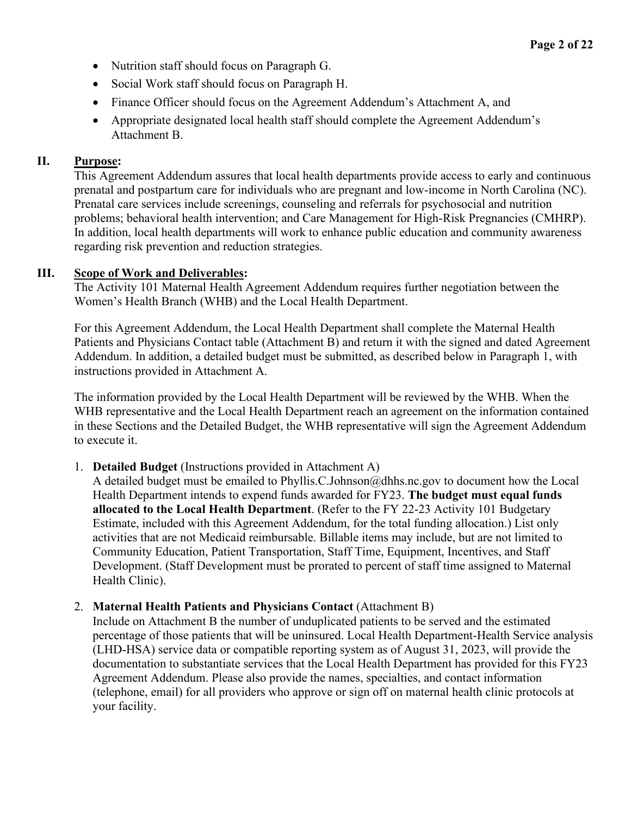- Nutrition staff should focus on Paragraph G.
- Social Work staff should focus on Paragraph H.
- Finance Officer should focus on the Agreement Addendum's Attachment A, and
- Appropriate designated local health staff should complete the Agreement Addendum's Attachment B.

#### **II. Purpose:**

This Agreement Addendum assures that local health departments provide access to early and continuous prenatal and postpartum care for individuals who are pregnant and low-income in North Carolina (NC). Prenatal care services include screenings, counseling and referrals for psychosocial and nutrition problems; behavioral health intervention; and Care Management for High-Risk Pregnancies (CMHRP). In addition, local health departments will work to enhance public education and community awareness regarding risk prevention and reduction strategies.

#### **III. Scope of Work and Deliverables:**

The Activity 101 Maternal Health Agreement Addendum requires further negotiation between the Women's Health Branch (WHB) and the Local Health Department.

For this Agreement Addendum, the Local Health Department shall complete the Maternal Health Patients and Physicians Contact table (Attachment B) and return it with the signed and dated Agreement Addendum. In addition, a detailed budget must be submitted, as described below in Paragraph 1, with instructions provided in Attachment A.

The information provided by the Local Health Department will be reviewed by the WHB. When the WHB representative and the Local Health Department reach an agreement on the information contained in these Sections and the Detailed Budget, the WHB representative will sign the Agreement Addendum to execute it.

1. **Detailed Budget** (Instructions provided in Attachment A)

A detailed budget must be emailed to Phyllis.C.Johnson@dhhs.nc.gov to document how the Local Health Department intends to expend funds awarded for FY23. **The budget must equal funds allocated to the Local Health Department**. (Refer to the FY 22-23 Activity 101 Budgetary Estimate, included with this Agreement Addendum, for the total funding allocation.) List only activities that are not Medicaid reimbursable. Billable items may include, but are not limited to Community Education, Patient Transportation, Staff Time, Equipment, Incentives, and Staff Development. (Staff Development must be prorated to percent of staff time assigned to Maternal Health Clinic).

#### 2. **Maternal Health Patients and Physicians Contact** (Attachment B)

Include on Attachment B the number of unduplicated patients to be served and the estimated percentage of those patients that will be uninsured. Local Health Department-Health Service analysis (LHD-HSA) service data or compatible reporting system as of August 31, 2023, will provide the documentation to substantiate services that the Local Health Department has provided for this FY23 Agreement Addendum. Please also provide the names, specialties, and contact information (telephone, email) for all providers who approve or sign off on maternal health clinic protocols at your facility.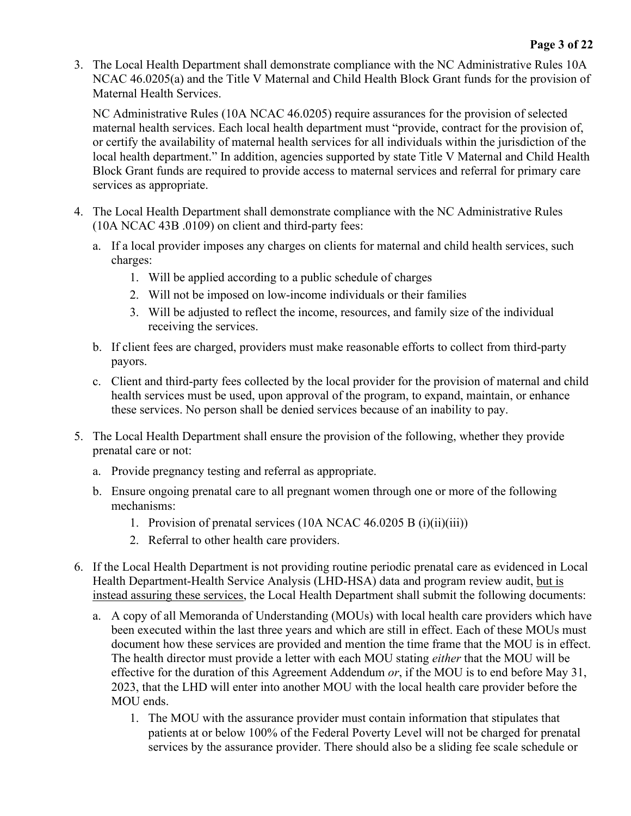3. The Local Health Department shall demonstrate compliance with the NC Administrative Rules 10A NCAC 46.0205(a) and the Title V Maternal and Child Health Block Grant funds for the provision of Maternal Health Services.

NC Administrative Rules (10A NCAC 46.0205) require assurances for the provision of selected maternal health services. Each local health department must "provide, contract for the provision of, or certify the availability of maternal health services for all individuals within the jurisdiction of the local health department." In addition, agencies supported by state Title V Maternal and Child Health Block Grant funds are required to provide access to maternal services and referral for primary care services as appropriate.

- 4. The Local Health Department shall demonstrate compliance with the NC Administrative Rules (10A NCAC 43B .0109) on client and third-party fees:
	- a. If a local provider imposes any charges on clients for maternal and child health services, such charges:
		- 1. Will be applied according to a public schedule of charges
		- 2. Will not be imposed on low-income individuals or their families
		- 3. Will be adjusted to reflect the income, resources, and family size of the individual receiving the services.
	- b. If client fees are charged, providers must make reasonable efforts to collect from third-party payors.
	- c. Client and third-party fees collected by the local provider for the provision of maternal and child health services must be used, upon approval of the program, to expand, maintain, or enhance these services. No person shall be denied services because of an inability to pay.
- 5. The Local Health Department shall ensure the provision of the following, whether they provide prenatal care or not:
	- a. Provide pregnancy testing and referral as appropriate.
	- b. Ensure ongoing prenatal care to all pregnant women through one or more of the following mechanisms:
		- 1. Provision of prenatal services (10A NCAC 46.0205 B (i)(ii)(iii))
		- 2. Referral to other health care providers.
- 6. If the Local Health Department is not providing routine periodic prenatal care as evidenced in Local Health Department-Health Service Analysis (LHD-HSA) data and program review audit, but is instead assuring these services, the Local Health Department shall submit the following documents:
	- a. A copy of all Memoranda of Understanding (MOUs) with local health care providers which have been executed within the last three years and which are still in effect. Each of these MOUs must document how these services are provided and mention the time frame that the MOU is in effect. The health director must provide a letter with each MOU stating *either* that the MOU will be effective for the duration of this Agreement Addendum *or*, if the MOU is to end before May 31, 2023, that the LHD will enter into another MOU with the local health care provider before the MOU ends.
		- 1. The MOU with the assurance provider must contain information that stipulates that patients at or below 100% of the Federal Poverty Level will not be charged for prenatal services by the assurance provider. There should also be a sliding fee scale schedule or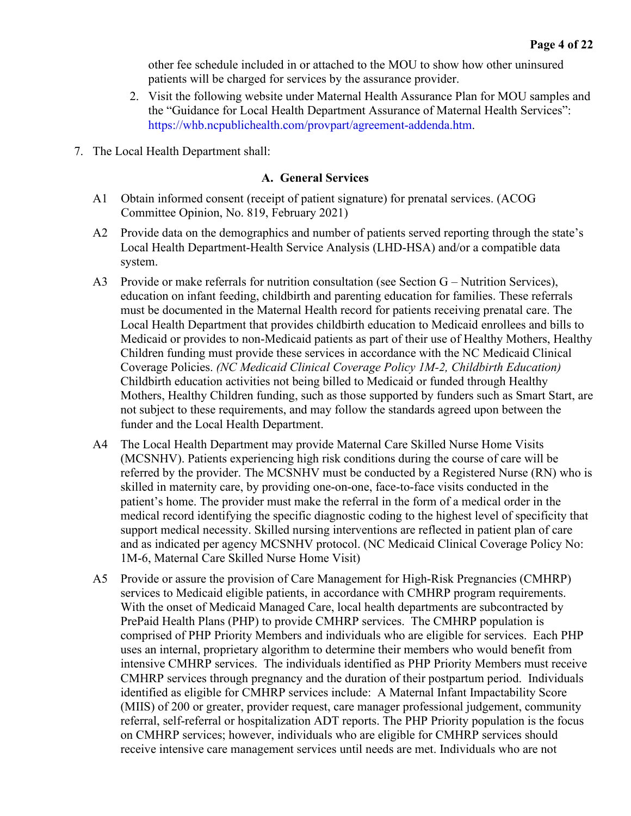other fee schedule included in or attached to the MOU to show how other uninsured patients will be charged for services by the assurance provider.

- 2. Visit the following website under Maternal Health Assurance Plan for MOU samples and the "Guidance for Local Health Department Assurance of Maternal Health Services": [https://whb.ncpublichealth.com/provpart/agreement-addenda.htm.](https://whb.ncpublichealth.com/provpart/agreement-addenda.htm)
- 7. The Local Health Department shall:

#### **A. General Services**

- A1 Obtain informed consent (receipt of patient signature) for prenatal services. (ACOG Committee Opinion, No. 819, February 2021)
- A2 Provide data on the demographics and number of patients served reporting through the state's Local Health Department-Health Service Analysis (LHD-HSA) and/or a compatible data system.
- A3 Provide or make referrals for nutrition consultation (see Section G Nutrition Services), education on infant feeding, childbirth and parenting education for families. These referrals must be documented in the Maternal Health record for patients receiving prenatal care. The Local Health Department that provides childbirth education to Medicaid enrollees and bills to Medicaid or provides to non-Medicaid patients as part of their use of Healthy Mothers, Healthy Children funding must provide these services in accordance with the NC Medicaid Clinical Coverage Policies. *(NC Medicaid Clinical Coverage Policy 1M-2, Childbirth Education)* Childbirth education activities not being billed to Medicaid or funded through Healthy Mothers, Healthy Children funding, such as those supported by funders such as Smart Start, are not subject to these requirements, and may follow the standards agreed upon between the funder and the Local Health Department.
- A4 The Local Health Department may provide Maternal Care Skilled Nurse Home Visits (MCSNHV). Patients experiencing high risk conditions during the course of care will be referred by the provider. The MCSNHV must be conducted by a Registered Nurse (RN) who is skilled in maternity care, by providing one-on-one, face-to-face visits conducted in the patient's home. The provider must make the referral in the form of a medical order in the medical record identifying the specific diagnostic coding to the highest level of specificity that support medical necessity. Skilled nursing interventions are reflected in patient plan of care and as indicated per agency MCSNHV protocol. (NC Medicaid Clinical Coverage Policy No: 1M-6, Maternal Care Skilled Nurse Home Visit)
- A5 Provide or assure the provision of Care Management for High-Risk Pregnancies (CMHRP) services to Medicaid eligible patients, in accordance with CMHRP program requirements. With the onset of Medicaid Managed Care, local health departments are subcontracted by PrePaid Health Plans (PHP) to provide CMHRP services. The CMHRP population is comprised of PHP Priority Members and individuals who are eligible for services. Each PHP uses an internal, proprietary algorithm to determine their members who would benefit from intensive CMHRP services. The individuals identified as PHP Priority Members must receive CMHRP services through pregnancy and the duration of their postpartum period. Individuals identified as eligible for CMHRP services include: A Maternal Infant Impactability Score (MIIS) of 200 or greater, provider request, care manager professional judgement, community referral, self-referral or hospitalization ADT reports. The PHP Priority population is the focus on CMHRP services; however, individuals who are eligible for CMHRP services should receive intensive care management services until needs are met. Individuals who are not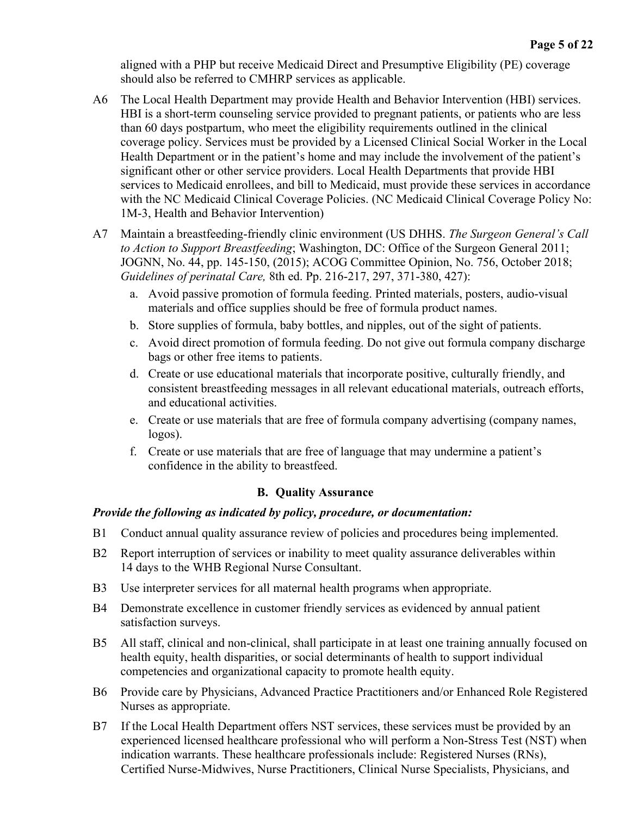aligned with a PHP but receive Medicaid Direct and Presumptive Eligibility (PE) coverage should also be referred to CMHRP services as applicable.

- A6 The Local Health Department may provide Health and Behavior Intervention (HBI) services. HBI is a short-term counseling service provided to pregnant patients, or patients who are less than 60 days postpartum, who meet the eligibility requirements outlined in the clinical coverage policy. Services must be provided by a Licensed Clinical Social Worker in the Local Health Department or in the patient's home and may include the involvement of the patient's significant other or other service providers. Local Health Departments that provide HBI services to Medicaid enrollees, and bill to Medicaid, must provide these services in accordance with the NC Medicaid Clinical Coverage Policies. (NC Medicaid Clinical Coverage Policy No: 1M-3, Health and Behavior Intervention)
- A7 Maintain a breastfeeding-friendly clinic environment (US DHHS. *The Surgeon General's Call to Action to Support Breastfeeding*; Washington, DC: Office of the Surgeon General 2011; JOGNN, No. 44, pp. 145-150, (2015); ACOG Committee Opinion, No. 756, October 2018; *Guidelines of perinatal Care,* 8th ed. Pp. 216-217, 297, 371-380, 427):
	- a. Avoid passive promotion of formula feeding. Printed materials, posters, audio-visual materials and office supplies should be free of formula product names.
	- b. Store supplies of formula, baby bottles, and nipples, out of the sight of patients.
	- c. Avoid direct promotion of formula feeding. Do not give out formula company discharge bags or other free items to patients.
	- d. Create or use educational materials that incorporate positive, culturally friendly, and consistent breastfeeding messages in all relevant educational materials, outreach efforts, and educational activities.
	- e. Create or use materials that are free of formula company advertising (company names, logos).
	- f. Create or use materials that are free of language that may undermine a patient's confidence in the ability to breastfeed.

## **B. Quality Assurance**

#### *Provide the following as indicated by policy, procedure, or documentation:*

- B1 Conduct annual quality assurance review of policies and procedures being implemented.
- B2 Report interruption of services or inability to meet quality assurance deliverables within 14 days to the WHB Regional Nurse Consultant.
- B3 Use interpreter services for all maternal health programs when appropriate.
- B4 Demonstrate excellence in customer friendly services as evidenced by annual patient satisfaction surveys.
- B5 All staff, clinical and non-clinical, shall participate in at least one training annually focused on health equity, health disparities, or social determinants of health to support individual competencies and organizational capacity to promote health equity.
- B6 Provide care by Physicians, Advanced Practice Practitioners and/or Enhanced Role Registered Nurses as appropriate.
- B7 If the Local Health Department offers NST services, these services must be provided by an experienced licensed healthcare professional who will perform a Non-Stress Test (NST) when indication warrants. These healthcare professionals include: Registered Nurses (RNs), Certified Nurse-Midwives, Nurse Practitioners, Clinical Nurse Specialists, Physicians, and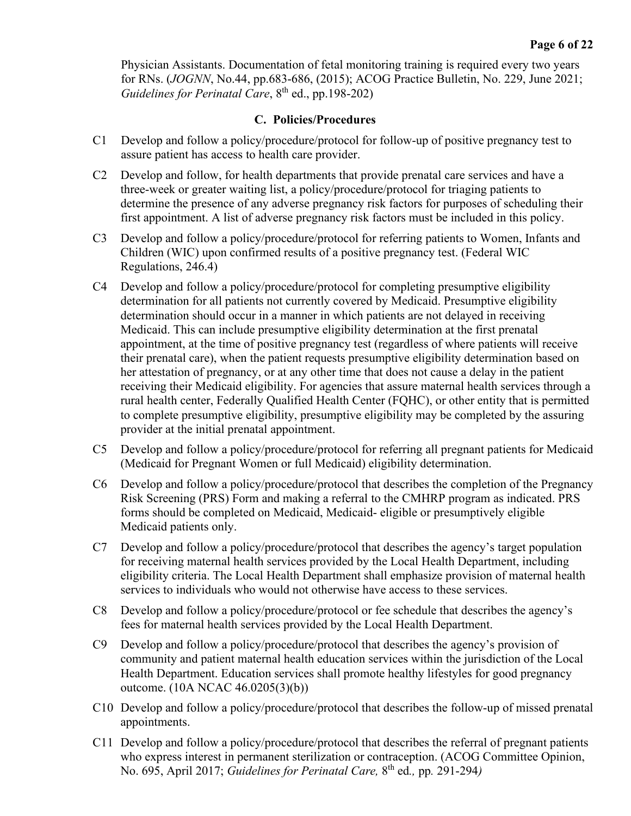Physician Assistants. Documentation of fetal monitoring training is required every two years for RNs. (*JOGNN*, No.44, pp.683-686, (2015); ACOG Practice Bulletin, No. 229, June 2021; *Guidelines for Perinatal Care*, 8<sup>th</sup> ed., pp.198-202)

#### **C. Policies/Procedures**

- C1 Develop and follow a policy/procedure/protocol for follow-up of positive pregnancy test to assure patient has access to health care provider.
- C2 Develop and follow, for health departments that provide prenatal care services and have a three-week or greater waiting list, a policy/procedure/protocol for triaging patients to determine the presence of any adverse pregnancy risk factors for purposes of scheduling their first appointment. A list of adverse pregnancy risk factors must be included in this policy.
- C3 Develop and follow a policy/procedure/protocol for referring patients to Women, Infants and Children (WIC) upon confirmed results of a positive pregnancy test. (Federal WIC Regulations, 246.4)
- C4 Develop and follow a policy/procedure/protocol for completing presumptive eligibility determination for all patients not currently covered by Medicaid. Presumptive eligibility determination should occur in a manner in which patients are not delayed in receiving Medicaid. This can include presumptive eligibility determination at the first prenatal appointment, at the time of positive pregnancy test (regardless of where patients will receive their prenatal care), when the patient requests presumptive eligibility determination based on her attestation of pregnancy, or at any other time that does not cause a delay in the patient receiving their Medicaid eligibility. For agencies that assure maternal health services through a rural health center, Federally Qualified Health Center (FQHC), or other entity that is permitted to complete presumptive eligibility, presumptive eligibility may be completed by the assuring provider at the initial prenatal appointment.
- C5 Develop and follow a policy/procedure/protocol for referring all pregnant patients for Medicaid (Medicaid for Pregnant Women or full Medicaid) eligibility determination.
- C6 Develop and follow a policy/procedure/protocol that describes the completion of the Pregnancy Risk Screening (PRS) Form and making a referral to the CMHRP program as indicated. PRS forms should be completed on Medicaid, Medicaid- eligible or presumptively eligible Medicaid patients only.
- C7 Develop and follow a policy/procedure/protocol that describes the agency's target population for receiving maternal health services provided by the Local Health Department, including eligibility criteria. The Local Health Department shall emphasize provision of maternal health services to individuals who would not otherwise have access to these services.
- C8 Develop and follow a policy/procedure/protocol or fee schedule that describes the agency's fees for maternal health services provided by the Local Health Department.
- C9 Develop and follow a policy/procedure/protocol that describes the agency's provision of community and patient maternal health education services within the jurisdiction of the Local Health Department. Education services shall promote healthy lifestyles for good pregnancy outcome. (10A NCAC 46.0205(3)(b))
- C10 Develop and follow a policy/procedure/protocol that describes the follow-up of missed prenatal appointments.
- C11 Develop and follow a policy/procedure/protocol that describes the referral of pregnant patients who express interest in permanent sterilization or contraception. (ACOG Committee Opinion, No. 695, April 2017; *Guidelines for Perinatal Care,* 8th ed*.,* pp*.* 291-294*)*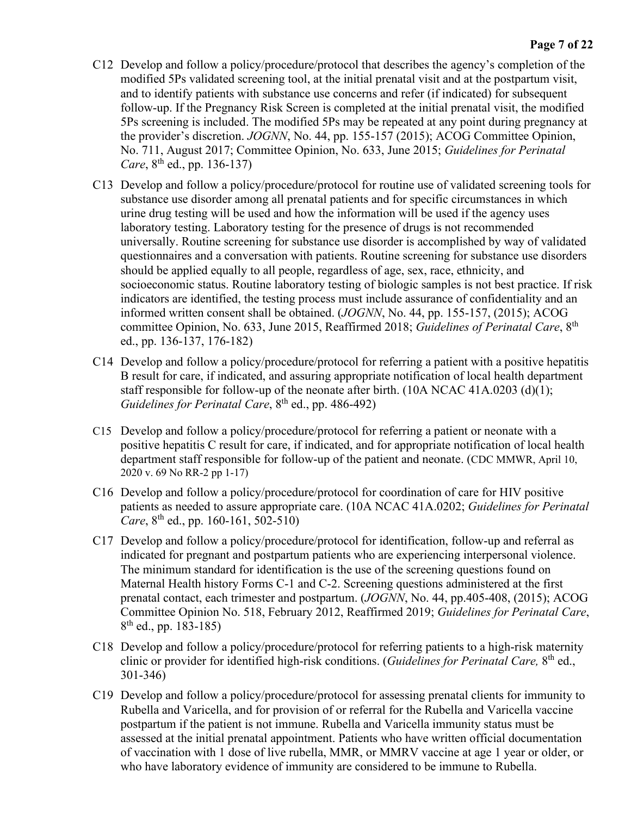- C12 Develop and follow a policy/procedure/protocol that describes the agency's completion of the modified 5Ps validated screening tool, at the initial prenatal visit and at the postpartum visit, and to identify patients with substance use concerns and refer (if indicated) for subsequent follow-up. If the Pregnancy Risk Screen is completed at the initial prenatal visit, the modified 5Ps screening is included. The modified 5Ps may be repeated at any point during pregnancy at the provider's discretion. *JOGNN*, No. 44, pp. 155-157 (2015); ACOG Committee Opinion, No. 711, August 2017; Committee Opinion, No. 633, June 2015; *Guidelines for Perinatal Care*, 8<sup>th</sup> ed., pp. 136-137)
- C13 Develop and follow a policy/procedure/protocol for routine use of validated screening tools for substance use disorder among all prenatal patients and for specific circumstances in which urine drug testing will be used and how the information will be used if the agency uses laboratory testing. Laboratory testing for the presence of drugs is not recommended universally. Routine screening for substance use disorder is accomplished by way of validated questionnaires and a conversation with patients. Routine screening for substance use disorders should be applied equally to all people, regardless of age, sex, race, ethnicity, and socioeconomic status. Routine laboratory testing of biologic samples is not best practice. If risk indicators are identified, the testing process must include assurance of confidentiality and an informed written consent shall be obtained. (*JOGNN*, No. 44, pp. 155-157, (2015); ACOG committee Opinion, No. 633, June 2015, Reaffirmed 2018; *Guidelines of Perinatal Care*, 8<sup>th</sup> ed., pp. 136-137, 176-182)
- C14 Develop and follow a policy/procedure/protocol for referring a patient with a positive hepatitis B result for care, if indicated, and assuring appropriate notification of local health department staff responsible for follow-up of the neonate after birth. (10A NCAC 41A.0203 (d)(1); *Guidelines for Perinatal Care*, 8<sup>th</sup> ed., pp. 486-492)
- C15 Develop and follow a policy/procedure/protocol for referring a patient or neonate with a positive hepatitis C result for care, if indicated, and for appropriate notification of local health department staff responsible for follow-up of the patient and neonate. (CDC MMWR, April 10, 2020 v. 69 No RR-2 pp 1-17)
- C16 Develop and follow a policy/procedure/protocol for coordination of care for HIV positive patients as needed to assure appropriate care. (10A NCAC 41A.0202; *Guidelines for Perinatal Care*, 8<sup>th</sup> ed., pp. 160-161, 502-510)
- C17 Develop and follow a policy/procedure/protocol for identification, follow-up and referral as indicated for pregnant and postpartum patients who are experiencing interpersonal violence. The minimum standard for identification is the use of the screening questions found on Maternal Health history Forms C-1 and C-2. Screening questions administered at the first prenatal contact, each trimester and postpartum. (*JOGNN*, No. 44, pp.405-408, (2015); ACOG Committee Opinion No. 518, February 2012, Reaffirmed 2019; *Guidelines for Perinatal Care*, 8th ed., pp. 183-185)
- C18 Develop and follow a policy/procedure/protocol for referring patients to a high-risk maternity clinic or provider for identified high-risk conditions. (*Guidelines for Perinatal Care,* 8th ed., 301-346)
- C19 Develop and follow a policy/procedure/protocol for assessing prenatal clients for immunity to Rubella and Varicella, and for provision of or referral for the Rubella and Varicella vaccine postpartum if the patient is not immune. Rubella and Varicella immunity status must be assessed at the initial prenatal appointment. Patients who have written official documentation of vaccination with 1 dose of live rubella, MMR, or MMRV vaccine at age 1 year or older, or who have laboratory evidence of immunity are considered to be immune to Rubella.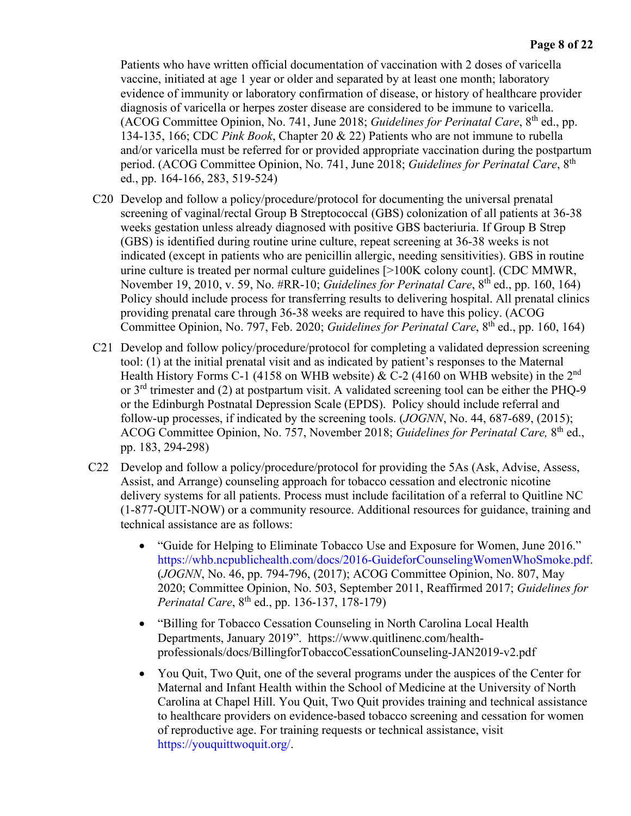Patients who have written official documentation of vaccination with 2 doses of varicella vaccine, initiated at age 1 year or older and separated by at least one month; laboratory evidence of immunity or laboratory confirmation of disease, or history of healthcare provider diagnosis of varicella or herpes zoster disease are considered to be immune to varicella. (ACOG Committee Opinion, No. 741, June 2018; *Guidelines for Perinatal Care*, 8th ed., pp. 134-135, 166; CDC *Pink Book*, Chapter 20 & 22) Patients who are not immune to rubella and/or varicella must be referred for or provided appropriate vaccination during the postpartum period. (ACOG Committee Opinion, No. 741, June 2018; *Guidelines for Perinatal Care*, 8th ed., pp. 164-166, 283, 519-524)

- C20 Develop and follow a policy/procedure/protocol for documenting the universal prenatal screening of vaginal/rectal Group B Streptococcal (GBS) colonization of all patients at 36-38 weeks gestation unless already diagnosed with positive GBS bacteriuria. If Group B Strep (GBS) is identified during routine urine culture, repeat screening at 36-38 weeks is not indicated (except in patients who are penicillin allergic, needing sensitivities). GBS in routine urine culture is treated per normal culture guidelines [>100K colony count]. (CDC MMWR, November 19, 2010, v. 59, No. #RR-10; *Guidelines for Perinatal Care*, 8<sup>th</sup> ed., pp. 160, 164) Policy should include process for transferring results to delivering hospital. All prenatal clinics providing prenatal care through 36-38 weeks are required to have this policy. (ACOG Committee Opinion, No. 797, Feb. 2020; *Guidelines for Perinatal Care*, 8<sup>th</sup> ed., pp. 160, 164)
- C21 Develop and follow policy/procedure/protocol for completing a validated depression screening tool: (1) at the initial prenatal visit and as indicated by patient's responses to the Maternal Health History Forms C-1 (4158 on WHB website) & C-2 (4160 on WHB website) in the 2<sup>nd</sup> or  $3<sup>rd</sup>$  trimester and (2) at postpartum visit. A validated screening tool can be either the PHQ-9 or the Edinburgh Postnatal Depression Scale (EPDS). Policy should include referral and follow-up processes, if indicated by the screening tools. (*JOGNN*, No. 44, 687-689, (2015); ACOG Committee Opinion, No. 757, November 2018; *Guidelines for Perinatal Care,* 8th ed., pp. 183, 294-298)
- C22 Develop and follow a policy/procedure/protocol for providing the 5As (Ask, Advise, Assess, Assist, and Arrange) counseling approach for tobacco cessation and electronic nicotine delivery systems for all patients. Process must include facilitation of a referral to Quitline NC (1-877-QUIT-NOW) or a community resource. Additional resources for guidance, training and technical assistance are as follows:
	- "Guide for Helping to Eliminate Tobacco Use and Exposure for Women, June 2016." [https://whb.ncpublichealth.com/docs/2016-GuideforCounselingWomenWhoSmoke.pdf.](https://whb.ncpublichealth.com/docs/2016-GuideforCounselingWomenWhoSmoke.pdf) (*JOGNN*, No. 46, pp. 794-796, (2017); ACOG Committee Opinion, No. 807, May 2020; Committee Opinion, No. 503, September 2011, Reaffirmed 2017; *Guidelines for Perinatal Care*, 8<sup>th</sup> ed., pp. 136-137, 178-179)
	- "Billing for Tobacco Cessation Counseling in North Carolina Local Health Departments, January 2019". https://www.quitlinenc.com/healthprofessionals/docs/BillingforTobaccoCessationCounseling-JAN2019-v2.pdf
	- You Quit, Two Quit, one of the several programs under the auspices of the Center for Maternal and Infant Health within the School of Medicine at the University of North Carolina at Chapel Hill. You Quit, Two Quit provides training and technical assistance to healthcare providers on evidence-based tobacco screening and cessation for women of reproductive age. For training requests or technical assistance, visit [https://youquittwoquit.org/.](https://youquittwoquit.org/)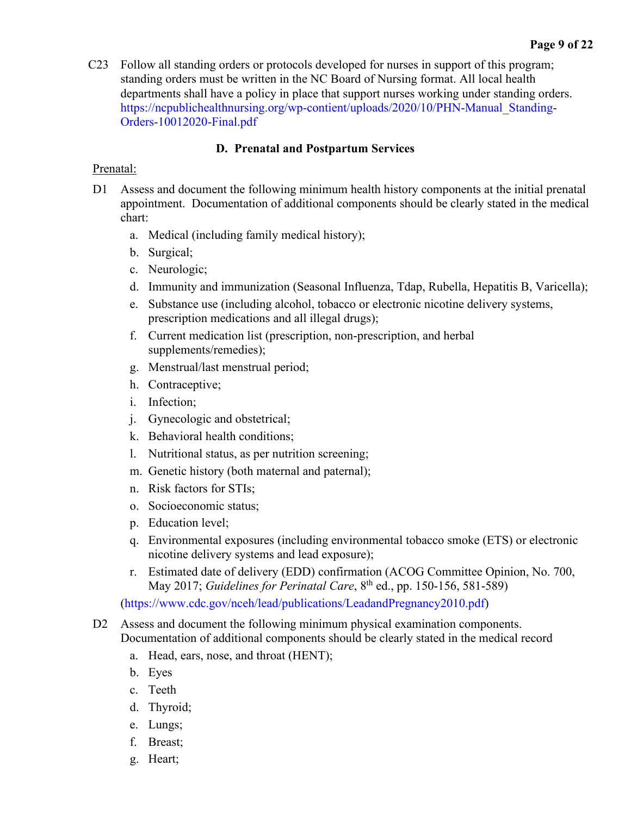C23 Follow all standing orders or protocols developed for nurses in support of this program; standing orders must be written in the NC Board of Nursing format. All local health departments shall have a policy in place that support nurses working under standing orders. [https://ncpublichealthnursing.org/wp-contient/uploads/2020/10/PHN-Manual\\_Standing-](https://ncpublichealthnursing.org/wp-contient/uploads/2020/10/PHN-Manual_Standing-Orders-10012020-Final.pdf)[Orders-10012020-Final.pdf](https://ncpublichealthnursing.org/wp-contient/uploads/2020/10/PHN-Manual_Standing-Orders-10012020-Final.pdf)

## **D. Prenatal and Postpartum Services**

#### Prenatal:

- D1 Assess and document the following minimum health history components at the initial prenatal appointment. Documentation of additional components should be clearly stated in the medical chart:
	- a. Medical (including family medical history);
	- b. Surgical;
	- c. Neurologic;
	- d. Immunity and immunization (Seasonal Influenza, Tdap, Rubella, Hepatitis B, Varicella);
	- e. Substance use (including alcohol, tobacco or electronic nicotine delivery systems, prescription medications and all illegal drugs);
	- f. Current medication list (prescription, non-prescription, and herbal supplements/remedies);
	- g. Menstrual/last menstrual period;
	- h. Contraceptive;
	- i. Infection;
	- j. Gynecologic and obstetrical;
	- k. Behavioral health conditions;
	- l. Nutritional status, as per nutrition screening;
	- m. Genetic history (both maternal and paternal);
	- n. Risk factors for STIs;
	- o. Socioeconomic status;
	- p. Education level;
	- q. Environmental exposures (including environmental tobacco smoke (ETS) or electronic nicotine delivery systems and lead exposure);
	- r. Estimated date of delivery (EDD) confirmation (ACOG Committee Opinion, No. 700, May 2017; *Guidelines for Perinatal Care*, 8th ed., pp. 150-156, 581-589)

[\(https://www.cdc.gov/nceh/lead/publications/LeadandPregnancy2010.pdf\)](https://www.cdc.gov/nceh/lead/publications/LeadandPregnancy2010.pdf)

- D2 Assess and document the following minimum physical examination components. Documentation of additional components should be clearly stated in the medical record
	- a. Head, ears, nose, and throat (HENT);
	- b. Eyes
	- c. Teeth
	- d. Thyroid;
	- e. Lungs;
	- f. Breast;
	- g. Heart;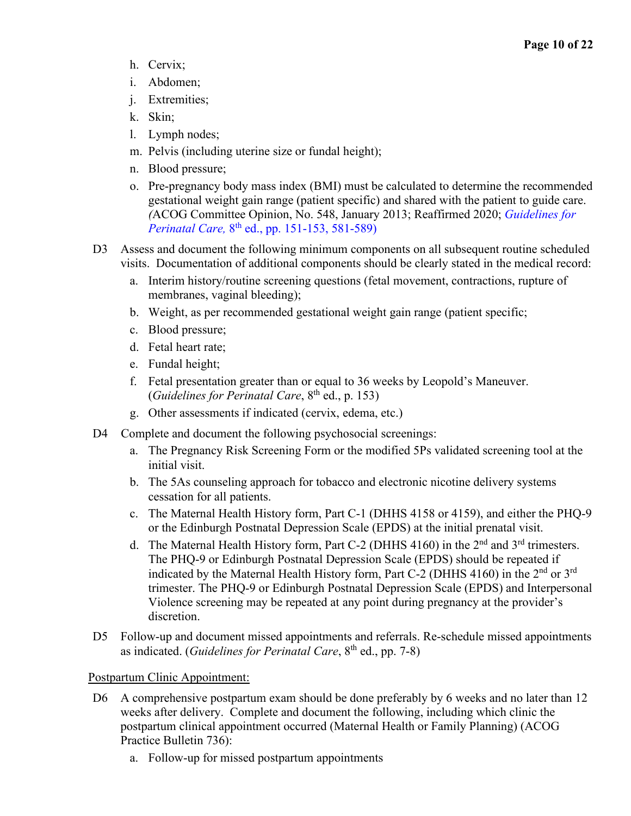- h. Cervix;
- i. Abdomen;
- j. Extremities;
- k. Skin;
- l. Lymph nodes;
- m. Pelvis (including uterine size or fundal height);
- n. Blood pressure;
- o. Pre-pregnancy body mass index (BMI) must be calculated to determine the recommended gestational weight gain range (patient specific) and shared with the patient to guide care. *(*ACOG Committee Opinion, No. 548, January 2013; Reaffirmed 2020; *Guidelines for Perinatal Care,* 8<sup>th</sup> ed., pp. 151-153, 581-589)
- D3 Assess and document the following minimum components on all subsequent routine scheduled visits. Documentation of additional components should be clearly stated in the medical record:
	- a. Interim history/routine screening questions (fetal movement, contractions, rupture of membranes, vaginal bleeding);
	- b. Weight, as per recommended gestational weight gain range (patient specific;
	- c. Blood pressure;
	- d. Fetal heart rate;
	- e. Fundal height;
	- f. Fetal presentation greater than or equal to 36 weeks by Leopold's Maneuver. (*Guidelines for Perinatal Care*, 8<sup>th</sup> ed., p. 153)
	- g. Other assessments if indicated (cervix, edema, etc.)
- D4 Complete and document the following psychosocial screenings:
	- a. The Pregnancy Risk Screening Form or the modified 5Ps validated screening tool at the initial visit.
	- b. The 5As counseling approach for tobacco and electronic nicotine delivery systems cessation for all patients.
	- c. The Maternal Health History form, Part C-1 (DHHS 4158 or 4159), and either the PHQ-9 or the Edinburgh Postnatal Depression Scale (EPDS) at the initial prenatal visit.
	- d. The Maternal Health History form, Part C-2 (DHHS 4160) in the  $2<sup>nd</sup>$  and  $3<sup>rd</sup>$  trimesters. The PHQ-9 or Edinburgh Postnatal Depression Scale (EPDS) should be repeated if indicated by the Maternal Health History form, Part C-2 (DHHS 4160) in the  $2<sup>nd</sup>$  or  $3<sup>rd</sup>$ trimester. The PHQ-9 or Edinburgh Postnatal Depression Scale (EPDS) and Interpersonal Violence screening may be repeated at any point during pregnancy at the provider's discretion.
- D5 Follow-up and document missed appointments and referrals. Re-schedule missed appointments as indicated. (*Guidelines for Perinatal Care*, 8th ed., pp. 7-8)

#### Postpartum Clinic Appointment:

- D6 A comprehensive postpartum exam should be done preferably by 6 weeks and no later than 12 weeks after delivery. Complete and document the following, including which clinic the postpartum clinical appointment occurred (Maternal Health or Family Planning) (ACOG Practice Bulletin 736):
	- a. Follow-up for missed postpartum appointments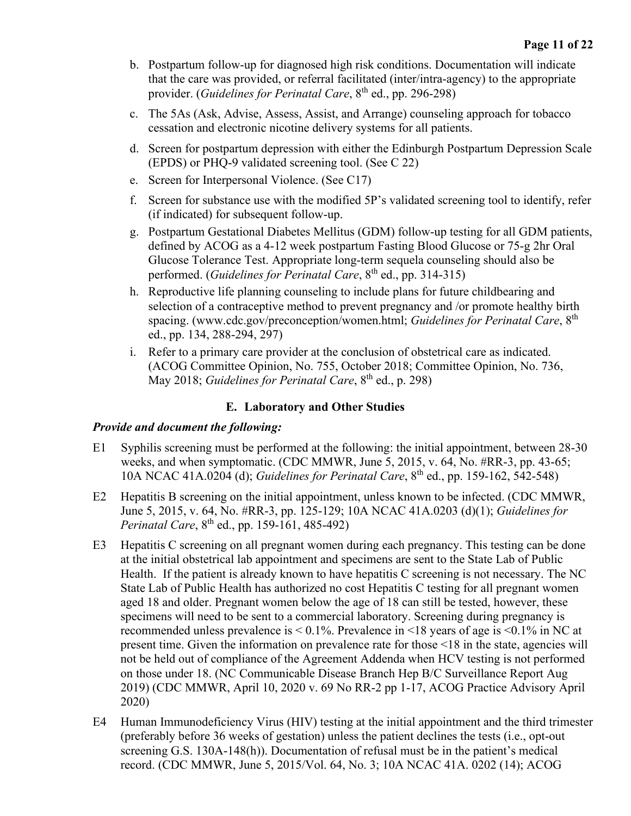- b. Postpartum follow-up for diagnosed high risk conditions. Documentation will indicate that the care was provided, or referral facilitated (inter/intra-agency) to the appropriate provider. (*Guidelines for Perinatal Care*, 8<sup>th</sup> ed., pp. 296-298)
- c. The 5As (Ask, Advise, Assess, Assist, and Arrange) counseling approach for tobacco cessation and electronic nicotine delivery systems for all patients.
- d. Screen for postpartum depression with either the Edinburgh Postpartum Depression Scale (EPDS) or PHQ-9 validated screening tool. (See C 22)
- e. Screen for Interpersonal Violence. (See C17)
- f. Screen for substance use with the modified 5P's validated screening tool to identify, refer (if indicated) for subsequent follow-up.
- g. Postpartum Gestational Diabetes Mellitus (GDM) follow-up testing for all GDM patients, defined by ACOG as a 4-12 week postpartum Fasting Blood Glucose or 75-g 2hr Oral Glucose Tolerance Test. Appropriate long-term sequela counseling should also be performed. (*Guidelines for Perinatal Care*, 8th ed., pp. 314-315)
- h. Reproductive life planning counseling to include plans for future childbearing and selection of a contraceptive method to prevent pregnancy and /or promote healthy birth spacing. (www.cdc.gov/preconception/women.html; *Guidelines for Perinatal Care*, 8th ed., pp. 134, 288-294, 297)
- i. Refer to a primary care provider at the conclusion of obstetrical care as indicated. (ACOG Committee Opinion, No. 755, October 2018; Committee Opinion, No. 736, May 2018; *Guidelines for Perinatal Care*, 8<sup>th</sup> ed., p. 298)

### **E. Laboratory and Other Studies**

#### *Provide and document the following:*

- E1 Syphilis screening must be performed at the following: the initial appointment, between 28-30 weeks, and when symptomatic. (CDC MMWR, June 5, 2015, v. 64, No. #RR-3, pp. 43-65; 10A NCAC 41A.0204 (d); *Guidelines for Perinatal Care*, 8th ed., pp. 159-162, 542-548)
- E2 Hepatitis B screening on the initial appointment, unless known to be infected. (CDC MMWR, June 5, 2015, v. 64, No. #RR-3, pp. 125-129; 10A NCAC 41A.0203 (d)(1); *Guidelines for Perinatal Care*,  $8^{th}$  ed., pp. 159-161, 485-492)
- E3 Hepatitis C screening on all pregnant women during each pregnancy. This testing can be done at the initial obstetrical lab appointment and specimens are sent to the State Lab of Public Health. If the patient is already known to have hepatitis C screening is not necessary. The NC State Lab of Public Health has authorized no cost Hepatitis C testing for all pregnant women aged 18 and older. Pregnant women below the age of 18 can still be tested, however, these specimens will need to be sent to a commercial laboratory. Screening during pregnancy is recommended unless prevalence is  $\le 0.1\%$ . Prevalence in  $\le 18$  years of age is  $\le 0.1\%$  in NC at present time. Given the information on prevalence rate for those <18 in the state, agencies will not be held out of compliance of the Agreement Addenda when HCV testing is not performed on those under 18. (NC Communicable Disease Branch Hep B/C Surveillance Report Aug 2019) (CDC MMWR, April 10, 2020 v. 69 No RR-2 pp 1-17, ACOG Practice Advisory April 2020)
- E4 Human Immunodeficiency Virus (HIV) testing at the initial appointment and the third trimester (preferably before 36 weeks of gestation) unless the patient declines the tests (i.e., opt-out screening G.S. 130A-148(h)). Documentation of refusal must be in the patient's medical record. (CDC MMWR, June 5, 2015/Vol. 64, No. 3; 10A NCAC 41A. 0202 (14); ACOG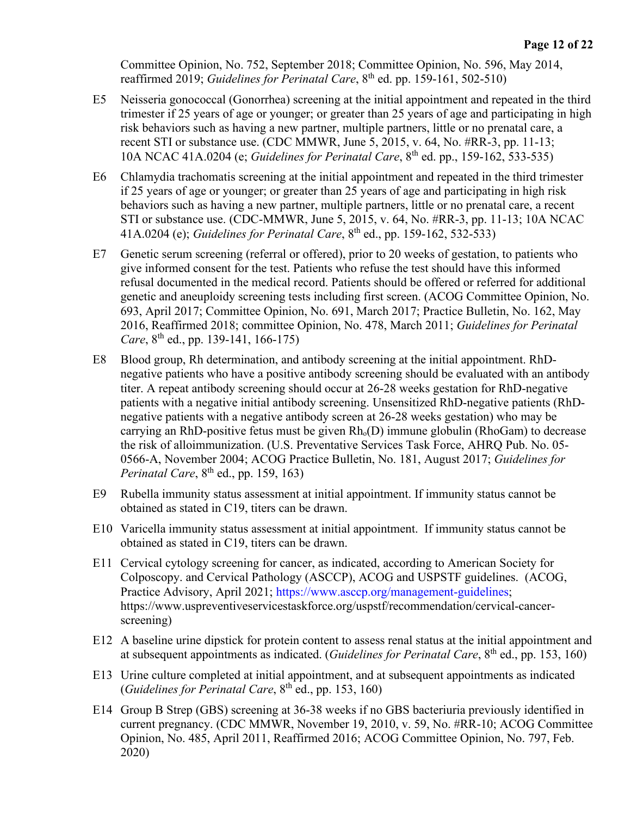Committee Opinion, No. 752, September 2018; Committee Opinion, No. 596, May 2014, reaffirmed 2019; *Guidelines for Perinatal Care*, 8<sup>th</sup> ed. pp. 159-161, 502-510)

- E5 Neisseria gonococcal (Gonorrhea) screening at the initial appointment and repeated in the third trimester if 25 years of age or younger; or greater than 25 years of age and participating in high risk behaviors such as having a new partner, multiple partners, little or no prenatal care, a recent STI or substance use. (CDC MMWR, June 5, 2015, v. 64, No. #RR-3, pp. 11-13; 10A NCAC 41A.0204 (e; *Guidelines for Perinatal Care*, 8th ed. pp., 159-162, 533-535)
- E6 Chlamydia trachomatis screening at the initial appointment and repeated in the third trimester if 25 years of age or younger; or greater than 25 years of age and participating in high risk behaviors such as having a new partner, multiple partners, little or no prenatal care, a recent STI or substance use. (CDC-MMWR, June 5, 2015, v. 64, No. #RR-3, pp. 11-13; 10A NCAC 41A.0204 (e); *Guidelines for Perinatal Care*, 8th ed., pp. 159-162, 532-533)
- E7 Genetic serum screening (referral or offered), prior to 20 weeks of gestation, to patients who give informed consent for the test. Patients who refuse the test should have this informed refusal documented in the medical record. Patients should be offered or referred for additional genetic and aneuploidy screening tests including first screen. (ACOG Committee Opinion, No. 693, April 2017; Committee Opinion, No. 691, March 2017; Practice Bulletin, No. 162, May 2016, Reaffirmed 2018; committee Opinion, No. 478, March 2011; *Guidelines for Perinatal Care*, 8<sup>th</sup> ed., pp. 139-141, 166-175)
- E8 Blood group, Rh determination, and antibody screening at the initial appointment. RhDnegative patients who have a positive antibody screening should be evaluated with an antibody titer. A repeat antibody screening should occur at 26-28 weeks gestation for RhD-negative patients with a negative initial antibody screening. Unsensitized RhD-negative patients (RhDnegative patients with a negative antibody screen at 26-28 weeks gestation) who may be carrying an RhD-positive fetus must be given  $Rh_0(D)$  immune globulin (RhoGam) to decrease the risk of alloimmunization. (U.S. Preventative Services Task Force, AHRQ Pub. No. 05- 0566-A, November 2004; ACOG Practice Bulletin, No. 181, August 2017; *Guidelines for Perinatal Care*, 8<sup>th</sup> ed., pp. 159, 163)
- E9 Rubella immunity status assessment at initial appointment. If immunity status cannot be obtained as stated in C19, titers can be drawn.
- E10 Varicella immunity status assessment at initial appointment. If immunity status cannot be obtained as stated in C19, titers can be drawn.
- E11 Cervical cytology screening for cancer, as indicated, according to American Society for Colposcopy. and Cervical Pathology (ASCCP), ACOG and USPSTF guidelines. (ACOG, Practice Advisory, April 2021; [https://www.asccp.org/management-guidelines;](https://www.asccp.org/management-guidelines) https://www.uspreventiveservicestaskforce.org/uspstf/recommendation/cervical-cancerscreening)
- E12 A baseline urine dipstick for protein content to assess renal status at the initial appointment and at subsequent appointments as indicated. (*Guidelines for Perinatal Care*, 8<sup>th</sup> ed., pp. 153, 160)
- E13 Urine culture completed at initial appointment, and at subsequent appointments as indicated (*Guidelines for Perinatal Care*, 8<sup>th</sup> ed., pp. 153, 160)
- E14 Group B Strep (GBS) screening at 36-38 weeks if no GBS bacteriuria previously identified in current pregnancy. (CDC MMWR, November 19, 2010, v. 59, No. #RR-10; ACOG Committee Opinion, No. 485, April 2011, Reaffirmed 2016; ACOG Committee Opinion, No. 797, Feb. 2020)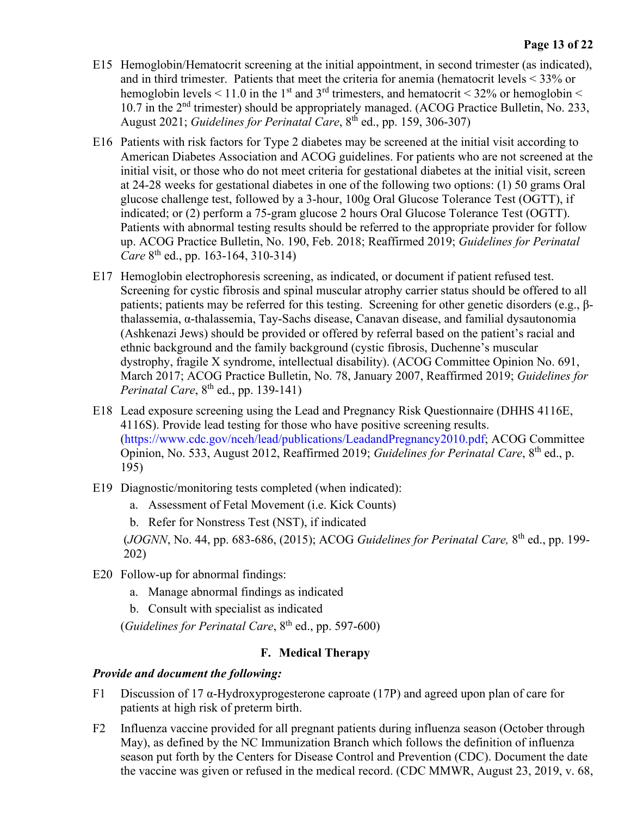- E15 Hemoglobin/Hematocrit screening at the initial appointment, in second trimester (as indicated), and in third trimester. Patients that meet the criteria for anemia (hematocrit levels < 33% or hemoglobin levels  $\leq 11.0$  in the 1<sup>st</sup> and 3<sup>rd</sup> trimesters, and hematocrit  $\leq 32\%$  or hemoglobin  $\leq$ 10.7 in the 2<sup>nd</sup> trimester) should be appropriately managed. (ACOG Practice Bulletin, No. 233, August 2021; *Guidelines for Perinatal Care*, 8<sup>th</sup> ed., pp. 159, 306-307)
- E16 Patients with risk factors for Type 2 diabetes may be screened at the initial visit according to American Diabetes Association and ACOG guidelines. For patients who are not screened at the initial visit, or those who do not meet criteria for gestational diabetes at the initial visit, screen at 24-28 weeks for gestational diabetes in one of the following two options: (1) 50 grams Oral glucose challenge test, followed by a 3-hour, 100g Oral Glucose Tolerance Test (OGTT), if indicated; or (2) perform a 75-gram glucose 2 hours Oral Glucose Tolerance Test (OGTT). Patients with abnormal testing results should be referred to the appropriate provider for follow up. ACOG Practice Bulletin, No. 190, Feb. 2018; Reaffirmed 2019; *Guidelines for Perinatal Care* 8<sup>th</sup> ed., pp. 163-164, 310-314)
- E17 Hemoglobin electrophoresis screening, as indicated, or document if patient refused test. Screening for cystic fibrosis and spinal muscular atrophy carrier status should be offered to all patients; patients may be referred for this testing. Screening for other genetic disorders (e.g., βthalassemia, α-thalassemia, Tay-Sachs disease, Canavan disease, and familial dysautonomia (Ashkenazi Jews) should be provided or offered by referral based on the patient's racial and ethnic background and the family background (cystic fibrosis, Duchenne's muscular dystrophy, fragile X syndrome, intellectual disability). (ACOG Committee Opinion No. 691, March 2017; ACOG Practice Bulletin, No. 78, January 2007, Reaffirmed 2019; *Guidelines for Perinatal Care*, 8<sup>th</sup> ed., pp. 139-141)
- E18 Lead exposure screening using the Lead and Pregnancy Risk Questionnaire (DHHS 4116E, 4116S). Provide lead testing for those who have positive screening results. [\(https://www.cdc.gov/nceh/lead/publications/LeadandPregnancy2010.pdf;](https://www.cdc.gov/nceh/lead/publications/LeadandPregnancy2010.pdf) ACOG Committee Opinion, No. 533, August 2012, Reaffirmed 2019; *Guidelines for Perinatal Care*, 8<sup>th</sup> ed., p. 195)
- E19 Diagnostic/monitoring tests completed (when indicated):
	- a. Assessment of Fetal Movement (i.e. Kick Counts)
	- b. Refer for Nonstress Test (NST), if indicated

(*JOGNN*, No. 44, pp. 683-686, (2015); ACOG *Guidelines for Perinatal Care,* 8th ed., pp. 199- 202)

- E20 Follow-up for abnormal findings:
	- a. Manage abnormal findings as indicated
	- b. Consult with specialist as indicated

(*Guidelines for Perinatal Care*, 8<sup>th</sup> ed., pp. 597-600)

#### **F. Medical Therapy**

#### *Provide and document the following:*

- F1 Discussion of 17 α-Hydroxyprogesterone caproate (17P) and agreed upon plan of care for patients at high risk of preterm birth.
- F2 Influenza vaccine provided for all pregnant patients during influenza season (October through May), as defined by the NC Immunization Branch which follows the definition of influenza season put forth by the Centers for Disease Control and Prevention (CDC). Document the date the vaccine was given or refused in the medical record. (CDC MMWR, August 23, 2019, v. 68,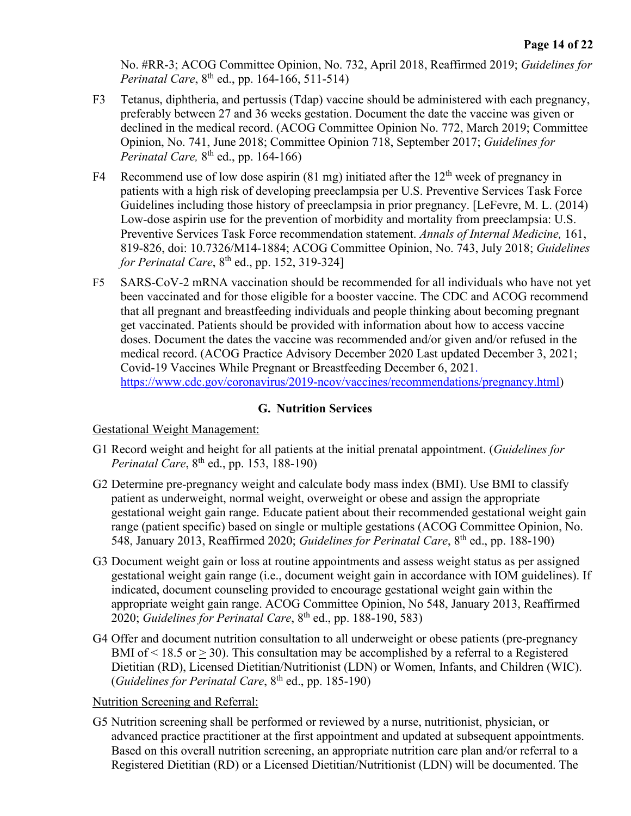No. #RR-3; ACOG Committee Opinion, No. 732, April 2018, Reaffirmed 2019; *Guidelines for Perinatal Care*, 8<sup>th</sup> ed., pp. 164-166, 511-514)

- F3 Tetanus, diphtheria, and pertussis (Tdap) vaccine should be administered with each pregnancy, preferably between 27 and 36 weeks gestation. Document the date the vaccine was given or declined in the medical record. (ACOG Committee Opinion No. 772, March 2019; Committee Opinion, No. 741, June 2018; Committee Opinion 718, September 2017; *Guidelines for Perinatal Care*, 8<sup>th</sup> ed., pp. 164-166)
- F4 Recommend use of low dose aspirin  $(81 \text{ mg})$  initiated after the  $12^{\text{th}}$  week of pregnancy in patients with a high risk of developing preeclampsia per U.S. Preventive Services Task Force Guidelines including those history of preeclampsia in prior pregnancy. [LeFevre, M. L. (2014) Low-dose aspirin use for the prevention of morbidity and mortality from preeclampsia: U.S. Preventive Services Task Force recommendation statement. *Annals of Internal Medicine,* 161, 819-826, doi: 10.7326/M14-1884; ACOG Committee Opinion, No. 743, July 2018; *Guidelines for Perinatal Care*,  $8<sup>th</sup>$  ed., pp. 152, 319-324]
- F5 SARS-CoV-2 mRNA vaccination should be recommended for all individuals who have not yet been vaccinated and for those eligible for a booster vaccine. The CDC and ACOG recommend that all pregnant and breastfeeding individuals and people thinking about becoming pregnant get vaccinated. Patients should be provided with information about how to access vaccine doses. Document the dates the vaccine was recommended and/or given and/or refused in the medical record. (ACOG Practice Advisory December 2020 Last updated December 3, 2021; Covid-19 Vaccines While Pregnant or Breastfeeding December 6, 2021. [https://www.cdc.gov/coronavirus/2019-ncov/vaccines/recommendations/pregnancy.html\)](https://www.cdc.gov/coronavirus/2019-ncov/vaccines/recommendations/pregnancy.html)

## **G. Nutrition Services**

#### Gestational Weight Management:

- G1 Record weight and height for all patients at the initial prenatal appointment. (*Guidelines for Perinatal Care*, 8<sup>th</sup> ed., pp. 153, 188-190)
- G2 Determine pre-pregnancy weight and calculate body mass index (BMI). Use BMI to classify patient as underweight, normal weight, overweight or obese and assign the appropriate gestational weight gain range. Educate patient about their recommended gestational weight gain range (patient specific) based on single or multiple gestations (ACOG Committee Opinion, No. 548, January 2013, Reaffirmed 2020; *Guidelines for Perinatal Care*, 8th ed., pp. 188-190)
- G3 Document weight gain or loss at routine appointments and assess weight status as per assigned gestational weight gain range (i.e., document weight gain in accordance with IOM guidelines). If indicated, document counseling provided to encourage gestational weight gain within the appropriate weight gain range. ACOG Committee Opinion, No 548, January 2013, Reaffirmed 2020; *Guidelines for Perinatal Care*, 8th ed., pp. 188-190, 583)
- G4 Offer and document nutrition consultation to all underweight or obese patients (pre-pregnancy BMI of  $\leq$  18.5 or  $>$  30). This consultation may be accomplished by a referral to a Registered Dietitian (RD), Licensed Dietitian/Nutritionist (LDN) or Women, Infants, and Children (WIC). (*Guidelines for Perinatal Care*, 8<sup>th</sup> ed., pp. 185-190)

#### Nutrition Screening and Referral:

G5 Nutrition screening shall be performed or reviewed by a nurse, nutritionist, physician, or advanced practice practitioner at the first appointment and updated at subsequent appointments. Based on this overall nutrition screening, an appropriate nutrition care plan and/or referral to a Registered Dietitian (RD) or a Licensed Dietitian/Nutritionist (LDN) will be documented. The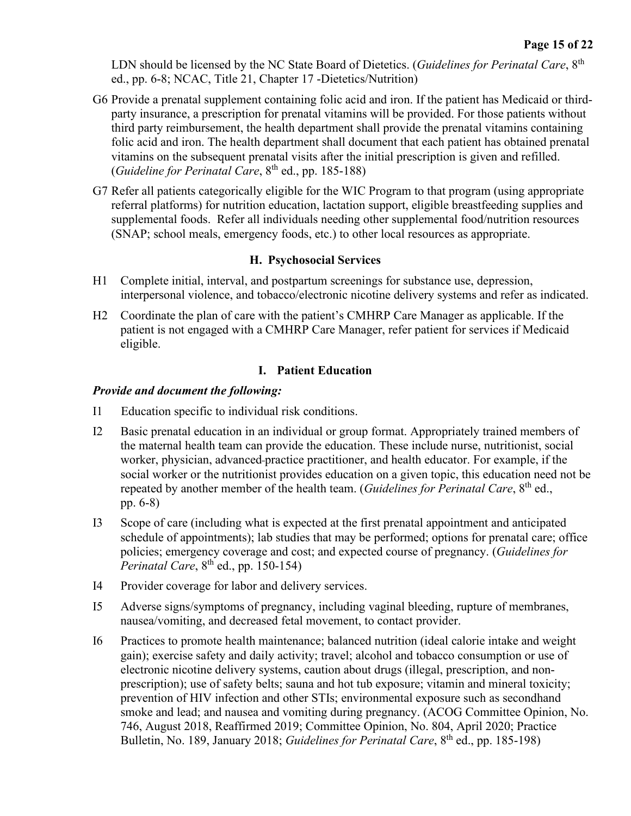LDN should be licensed by the NC State Board of Dietetics. (*Guidelines for Perinatal Care*, 8<sup>th</sup> ed., pp. 6-8; NCAC, Title 21, Chapter 17 -Dietetics/Nutrition)

- G6 Provide a prenatal supplement containing folic acid and iron. If the patient has Medicaid or thirdparty insurance, a prescription for prenatal vitamins will be provided. For those patients without third party reimbursement, the health department shall provide the prenatal vitamins containing folic acid and iron. The health department shall document that each patient has obtained prenatal vitamins on the subsequent prenatal visits after the initial prescription is given and refilled. (*Guideline for Perinatal Care*, 8<sup>th</sup> ed., pp. 185-188)
- G7 Refer all patients categorically eligible for the WIC Program to that program (using appropriate referral platforms) for nutrition education, lactation support, eligible breastfeeding supplies and supplemental foods. Refer all individuals needing other supplemental food/nutrition resources (SNAP; school meals, emergency foods, etc.) to other local resources as appropriate.

#### **H. Psychosocial Services**

- H1 Complete initial, interval, and postpartum screenings for substance use, depression, interpersonal violence, and tobacco/electronic nicotine delivery systems and refer as indicated.
- H2 Coordinate the plan of care with the patient's CMHRP Care Manager as applicable. If the patient is not engaged with a CMHRP Care Manager, refer patient for services if Medicaid eligible.

#### **I. Patient Education**

#### *Provide and document the following:*

- I1 Education specific to individual risk conditions.
- I2 Basic prenatal education in an individual or group format. Appropriately trained members of the maternal health team can provide the education. These include nurse, nutritionist, social worker, physician, advanced practice practitioner, and health educator. For example, if the social worker or the nutritionist provides education on a given topic, this education need not be repeated by another member of the health team. (*Guidelines for Perinatal Care*, 8<sup>th</sup> ed., pp. 6-8)
- I3 Scope of care (including what is expected at the first prenatal appointment and anticipated schedule of appointments); lab studies that may be performed; options for prenatal care; office policies; emergency coverage and cost; and expected course of pregnancy. (*Guidelines for Perinatal Care*, 8<sup>th</sup> ed., pp. 150-154)
- I4 Provider coverage for labor and delivery services.
- I5 Adverse signs/symptoms of pregnancy, including vaginal bleeding, rupture of membranes, nausea/vomiting, and decreased fetal movement, to contact provider.
- I6 Practices to promote health maintenance; balanced nutrition (ideal calorie intake and weight gain); exercise safety and daily activity; travel; alcohol and tobacco consumption or use of electronic nicotine delivery systems, caution about drugs (illegal, prescription, and nonprescription); use of safety belts; sauna and hot tub exposure; vitamin and mineral toxicity; prevention of HIV infection and other STIs; environmental exposure such as secondhand smoke and lead; and nausea and vomiting during pregnancy. (ACOG Committee Opinion, No. 746, August 2018, Reaffirmed 2019; Committee Opinion, No. 804, April 2020; Practice Bulletin, No. 189, January 2018; *Guidelines for Perinatal Care*, 8<sup>th</sup> ed., pp. 185-198)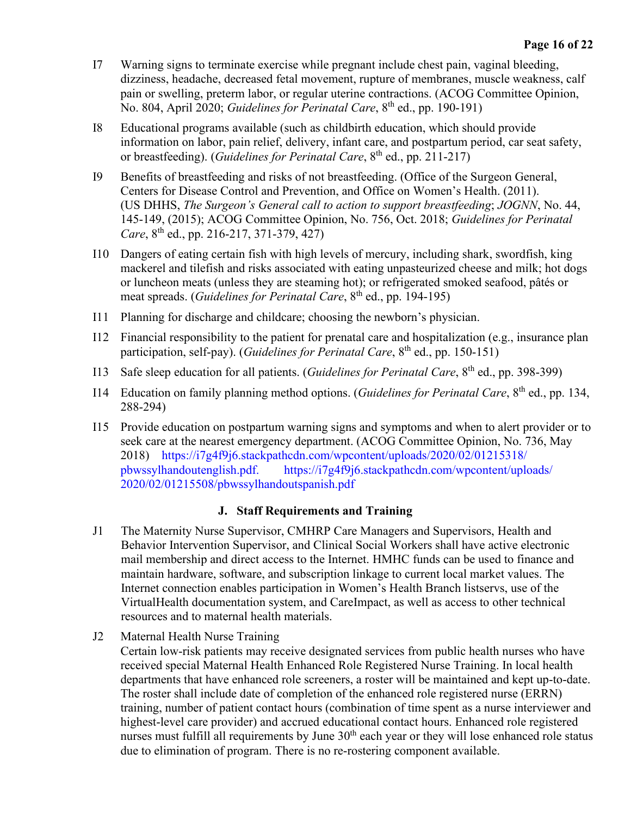- I7 Warning signs to terminate exercise while pregnant include chest pain, vaginal bleeding, dizziness, headache, decreased fetal movement, rupture of membranes, muscle weakness, calf pain or swelling, preterm labor, or regular uterine contractions. (ACOG Committee Opinion, No. 804, April 2020; *Guidelines for Perinatal Care*, 8th ed., pp. 190-191)
- I8 Educational programs available (such as childbirth education, which should provide information on labor, pain relief, delivery, infant care, and postpartum period, car seat safety, or breastfeeding). (*Guidelines for Perinatal Care*, 8<sup>th</sup> ed., pp. 211-217)
- I9 Benefits of breastfeeding and risks of not breastfeeding. (Office of the Surgeon General, Centers for Disease Control and Prevention, and Office on Women's Health. (2011). (US DHHS, *The Surgeon's General call to action to support breastfeeding*; *JOGNN*, No. 44, 145-149, (2015); ACOG Committee Opinion, No. 756, Oct. 2018; *Guidelines for Perinatal Care*, 8th ed., pp. 216-217, 371-379, 427)
- I10 Dangers of eating certain fish with high levels of mercury, including shark, swordfish, king mackerel and tilefish and risks associated with eating unpasteurized cheese and milk; hot dogs or luncheon meats (unless they are steaming hot); or refrigerated smoked seafood, pâtés or meat spreads. (*Guidelines for Perinatal Care*, 8th ed., pp. 194-195)
- I11 Planning for discharge and childcare; choosing the newborn's physician.
- I12 Financial responsibility to the patient for prenatal care and hospitalization (e.g., insurance plan participation, self-pay). (*Guidelines for Perinatal Care*, 8<sup>th</sup> ed., pp. 150-151)
- I13 Safe sleep education for all patients. (*Guidelines for Perinatal Care*, 8th ed., pp. 398-399)
- I14 Education on family planning method options. (*Guidelines for Perinatal Care*, 8th ed., pp. 134, 288-294)
- I15 Provide education on postpartum warning signs and symptoms and when to alert provider or to seek care at the nearest emergency department. (ACOG Committee Opinion, No. 736, May 2018) [https://i7g4f9j6.stackpathcdn.com/wpcontent/uploads/2020/02/01215318/](https://i7g4f9j6.stackpathcdn.com/wp-content/uploads/2020/02/01215318/pbwssylhandoutenglish.pdf)  [pbwssylhandoutenglish.pdf.](https://i7g4f9j6.stackpathcdn.com/wp-content/uploads/2020/02/01215318/pbwssylhandoutenglish.pdf) [https://i7g4f9j6.stackpathcdn.com/wpcontent/uploads/](https://i7g4f9j6.stackpathcdn.com/wpcontent/uploads/2020/02/01215508/pbwssylhandoutspanish.pdf)  [2020/02/01215508/pbwssylhandoutspanish.pdf](https://i7g4f9j6.stackpathcdn.com/wpcontent/uploads/2020/02/01215508/pbwssylhandoutspanish.pdf)

## **J. Staff Requirements and Training**

- J1 The Maternity Nurse Supervisor, CMHRP Care Managers and Supervisors, Health and Behavior Intervention Supervisor, and Clinical Social Workers shall have active electronic mail membership and direct access to the Internet. HMHC funds can be used to finance and maintain hardware, software, and subscription linkage to current local market values. The Internet connection enables participation in Women's Health Branch listservs, use of the VirtualHealth documentation system, and CareImpact, as well as access to other technical resources and to maternal health materials.
- J2 Maternal Health Nurse Training

Certain low-risk patients may receive designated services from public health nurses who have received special Maternal Health Enhanced Role Registered Nurse Training. In local health departments that have enhanced role screeners, a roster will be maintained and kept up-to-date. The roster shall include date of completion of the enhanced role registered nurse (ERRN) training, number of patient contact hours (combination of time spent as a nurse interviewer and highest-level care provider) and accrued educational contact hours. Enhanced role registered nurses must fulfill all requirements by June  $30<sup>th</sup>$  each year or they will lose enhanced role status due to elimination of program. There is no re-rostering component available.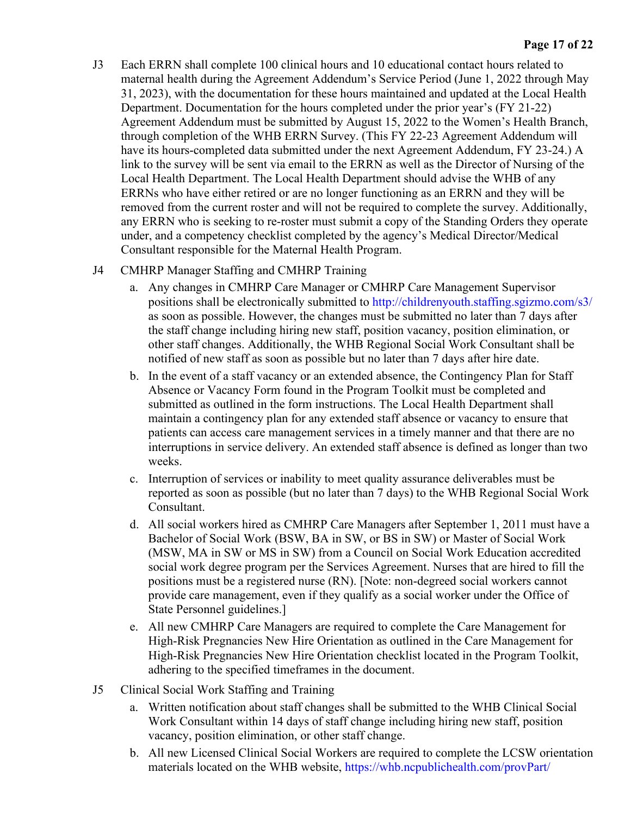J3 Each ERRN shall complete 100 clinical hours and 10 educational contact hours related to maternal health during the Agreement Addendum's Service Period (June 1, 2022 through May 31, 2023), with the documentation for these hours maintained and updated at the Local Health Department. Documentation for the hours completed under the prior year's (FY 21-22) Agreement Addendum must be submitted by August 15, 2022 to the Women's Health Branch, through completion of the WHB ERRN Survey. (This FY 22-23 Agreement Addendum will have its hours-completed data submitted under the next Agreement Addendum, FY 23-24.) A link to the survey will be sent via email to the ERRN as well as the Director of Nursing of the Local Health Department. The Local Health Department should advise the WHB of any ERRNs who have either retired or are no longer functioning as an ERRN and they will be removed from the current roster and will not be required to complete the survey. Additionally, any ERRN who is seeking to re-roster must submit a copy of the Standing Orders they operate under, and a competency checklist completed by the agency's Medical Director/Medical Consultant responsible for the Maternal Health Program.

## J4 CMHRP Manager Staffing and CMHRP Training

- a. Any changes in CMHRP Care Manager or CMHRP Care Management Supervisor positions shall be electronically submitted to<http://childrenyouth.staffing.sgizmo.com/s3/> as soon as possible. However, the changes must be submitted no later than 7 days after the staff change including hiring new staff, position vacancy, position elimination, or other staff changes. Additionally, the WHB Regional Social Work Consultant shall be notified of new staff as soon as possible but no later than 7 days after hire date.
- b. In the event of a staff vacancy or an extended absence, the Contingency Plan for Staff Absence or Vacancy Form found in the Program Toolkit must be completed and submitted as outlined in the form instructions. The Local Health Department shall maintain a contingency plan for any extended staff absence or vacancy to ensure that patients can access care management services in a timely manner and that there are no interruptions in service delivery. An extended staff absence is defined as longer than two weeks.
- c. Interruption of services or inability to meet quality assurance deliverables must be reported as soon as possible (but no later than 7 days) to the WHB Regional Social Work Consultant.
- d. All social workers hired as CMHRP Care Managers after September 1, 2011 must have a Bachelor of Social Work (BSW, BA in SW, or BS in SW) or Master of Social Work (MSW, MA in SW or MS in SW) from a Council on Social Work Education accredited social work degree program per the Services Agreement. Nurses that are hired to fill the positions must be a registered nurse (RN). [Note: non-degreed social workers cannot provide care management, even if they qualify as a social worker under the Office of State Personnel guidelines.]
- e. All new CMHRP Care Managers are required to complete the Care Management for High-Risk Pregnancies New Hire Orientation as outlined in the Care Management for High-Risk Pregnancies New Hire Orientation checklist located in the Program Toolkit, adhering to the specified timeframes in the document.
- J5 Clinical Social Work Staffing and Training
	- a. Written notification about staff changes shall be submitted to the WHB Clinical Social Work Consultant within 14 days of staff change including hiring new staff, position vacancy, position elimination, or other staff change.
	- b. All new Licensed Clinical Social Workers are required to complete the LCSW orientation materials located on the WHB website, [https://whb.ncpublichealth.com/provPart/](https://whb.ncpublichealth.com/provPart/training.htm)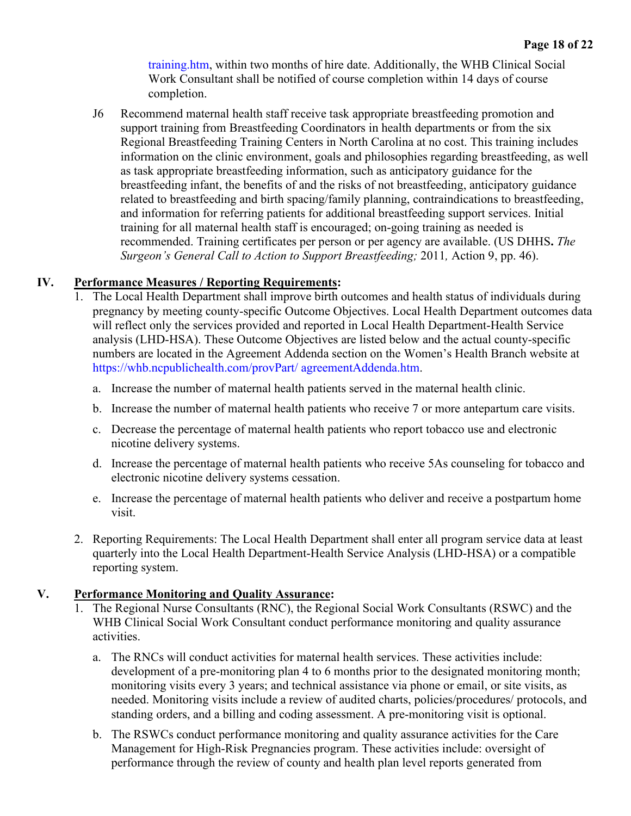[training.htm,](https://whb.ncpublichealth.com/provPart/training.htm) within two months of hire date. Additionally, the WHB Clinical Social Work Consultant shall be notified of course completion within 14 days of course completion.

J6 Recommend maternal health staff receive task appropriate breastfeeding promotion and support training from Breastfeeding Coordinators in health departments or from the six Regional Breastfeeding Training Centers in North Carolina at no cost. This training includes information on the clinic environment, goals and philosophies regarding breastfeeding, as well as task appropriate breastfeeding information, such as anticipatory guidance for the breastfeeding infant, the benefits of and the risks of not breastfeeding, anticipatory guidance related to breastfeeding and birth spacing/family planning, contraindications to breastfeeding, and information for referring patients for additional breastfeeding support services. Initial training for all maternal health staff is encouraged; on-going training as needed is recommended. Training certificates per person or per agency are available. (US DHHS**.** *The Surgeon's General Call to Action to Support Breastfeeding;* 2011*,* Action 9, pp. 46).

#### **IV. Performance Measures / Reporting Requirements:**

- 1. The Local Health Department shall improve birth outcomes and health status of individuals during pregnancy by meeting county-specific Outcome Objectives. Local Health Department outcomes data will reflect only the services provided and reported in Local Health Department-Health Service analysis (LHD-HSA). These Outcome Objectives are listed below and the actual county-specific numbers are located in the Agreement Addenda section on the Women's Health Branch website at [https://whb.ncpublichealth.com/provPart/ agreementAddenda.htm.](https://whb.ncpublichealth.com/provPart/agreementAddenda.htm)
	- a. Increase the number of maternal health patients served in the maternal health clinic.
	- b. Increase the number of maternal health patients who receive 7 or more antepartum care visits.
	- c. Decrease the percentage of maternal health patients who report tobacco use and electronic nicotine delivery systems.
	- d. Increase the percentage of maternal health patients who receive 5As counseling for tobacco and electronic nicotine delivery systems cessation.
	- e. Increase the percentage of maternal health patients who deliver and receive a postpartum home visit.
- 2. Reporting Requirements: The Local Health Department shall enter all program service data at least quarterly into the Local Health Department-Health Service Analysis (LHD-HSA) or a compatible reporting system.

#### **V. Performance Monitoring and Quality Assurance:**

- 1. The Regional Nurse Consultants (RNC), the Regional Social Work Consultants (RSWC) and the WHB Clinical Social Work Consultant conduct performance monitoring and quality assurance activities.
	- a. The RNCs will conduct activities for maternal health services. These activities include: development of a pre-monitoring plan 4 to 6 months prior to the designated monitoring month; monitoring visits every 3 years; and technical assistance via phone or email, or site visits, as needed. Monitoring visits include a review of audited charts, policies/procedures/ protocols, and standing orders, and a billing and coding assessment. A pre-monitoring visit is optional.
	- b. The RSWCs conduct performance monitoring and quality assurance activities for the Care Management for High-Risk Pregnancies program. These activities include: oversight of performance through the review of county and health plan level reports generated from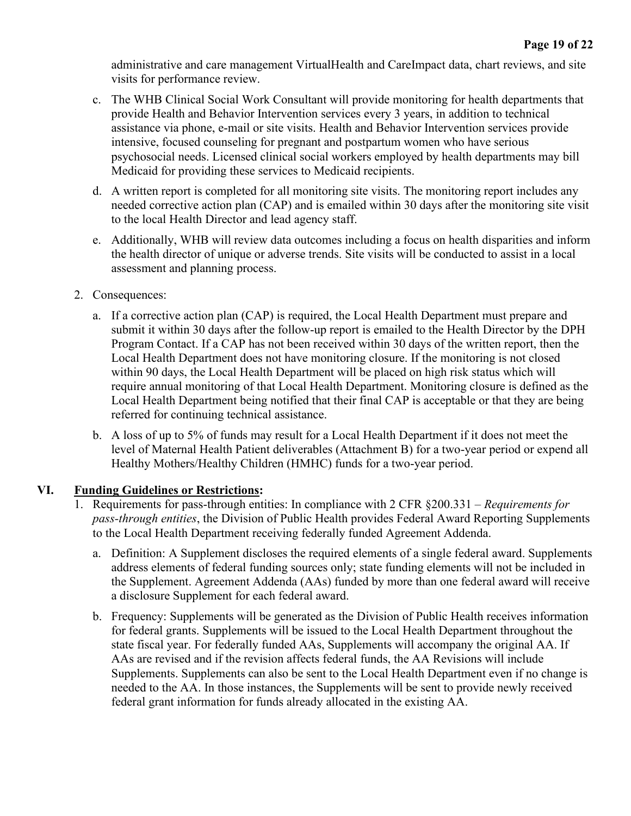administrative and care management VirtualHealth and CareImpact data, chart reviews, and site visits for performance review.

- c. The WHB Clinical Social Work Consultant will provide monitoring for health departments that provide Health and Behavior Intervention services every 3 years, in addition to technical assistance via phone, e-mail or site visits. Health and Behavior Intervention services provide intensive, focused counseling for pregnant and postpartum women who have serious psychosocial needs. Licensed clinical social workers employed by health departments may bill Medicaid for providing these services to Medicaid recipients.
- d. A written report is completed for all monitoring site visits. The monitoring report includes any needed corrective action plan (CAP) and is emailed within 30 days after the monitoring site visit to the local Health Director and lead agency staff.
- e. Additionally, WHB will review data outcomes including a focus on health disparities and inform the health director of unique or adverse trends. Site visits will be conducted to assist in a local assessment and planning process.
- 2. Consequences:
	- a. If a corrective action plan (CAP) is required, the Local Health Department must prepare and submit it within 30 days after the follow-up report is emailed to the Health Director by the DPH Program Contact. If a CAP has not been received within 30 days of the written report, then the Local Health Department does not have monitoring closure. If the monitoring is not closed within 90 days, the Local Health Department will be placed on high risk status which will require annual monitoring of that Local Health Department. Monitoring closure is defined as the Local Health Department being notified that their final CAP is acceptable or that they are being referred for continuing technical assistance.
	- b. A loss of up to 5% of funds may result for a Local Health Department if it does not meet the level of Maternal Health Patient deliverables (Attachment B) for a two-year period or expend all Healthy Mothers/Healthy Children (HMHC) funds for a two-year period.

## **VI. Funding Guidelines or Restrictions:**

- 1. Requirements for pass-through entities: In compliance with 2 CFR §200.331 *Requirements for pass-through entities*, the Division of Public Health provides Federal Award Reporting Supplements to the Local Health Department receiving federally funded Agreement Addenda.
	- a. Definition: A Supplement discloses the required elements of a single federal award. Supplements address elements of federal funding sources only; state funding elements will not be included in the Supplement. Agreement Addenda (AAs) funded by more than one federal award will receive a disclosure Supplement for each federal award.
	- b. Frequency: Supplements will be generated as the Division of Public Health receives information for federal grants. Supplements will be issued to the Local Health Department throughout the state fiscal year. For federally funded AAs, Supplements will accompany the original AA. If AAs are revised and if the revision affects federal funds, the AA Revisions will include Supplements. Supplements can also be sent to the Local Health Department even if no change is needed to the AA. In those instances, the Supplements will be sent to provide newly received federal grant information for funds already allocated in the existing AA.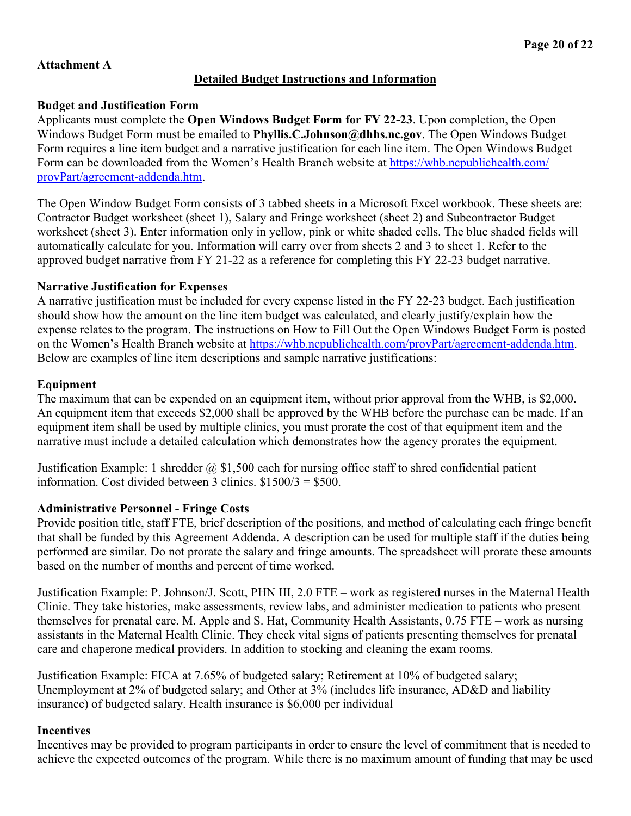#### **Attachment A**

#### **Detailed Budget Instructions and Information**

#### **Budget and Justification Form**

Applicants must complete the **Open Windows Budget Form for FY 22-23**. Upon completion, the Open Windows Budget Form must be emailed to **Phyllis.C.Johnson@dhhs.nc.gov**. The Open Windows Budget Form requires a line item budget and a narrative justification for each line item. The Open Windows Budget Form can be downloaded from the Women's Health Branch website at [https://whb.ncpublichealth.com/](https://whb.ncpublichealth.com/%20provPart/agreement-addenda.htm)  [provPart/agreement-addenda.htm.](https://whb.ncpublichealth.com/%20provPart/agreement-addenda.htm)

The Open Window Budget Form consists of 3 tabbed sheets in a Microsoft Excel workbook. These sheets are: Contractor Budget worksheet (sheet 1), Salary and Fringe worksheet (sheet 2) and Subcontractor Budget worksheet (sheet 3). Enter information only in yellow, pink or white shaded cells. The blue shaded fields will automatically calculate for you. Information will carry over from sheets 2 and 3 to sheet 1. Refer to the approved budget narrative from FY 21-22 as a reference for completing this FY 22-23 budget narrative.

#### **Narrative Justification for Expenses**

A narrative justification must be included for every expense listed in the FY 22-23 budget. Each justification should show how the amount on the line item budget was calculated, and clearly justify/explain how the expense relates to the program. The instructions on How to Fill Out the Open Windows Budget Form is posted on the Women's Health Branch website at [https://whb.ncpublichealth.com/provPart/agreement-addenda.htm.](https://whb.ncpublichealth.com/provPart/agreement-addenda.htm) Below are examples of line item descriptions and sample narrative justifications:

#### **Equipment**

The maximum that can be expended on an equipment item, without prior approval from the WHB, is \$2,000. An equipment item that exceeds \$2,000 shall be approved by the WHB before the purchase can be made. If an equipment item shall be used by multiple clinics, you must prorate the cost of that equipment item and the narrative must include a detailed calculation which demonstrates how the agency prorates the equipment.

Justification Example: 1 shredder  $\omega$  \$1,500 each for nursing office staff to shred confidential patient information. Cost divided between 3 clinics.  $$1500/3 = $500$ .

#### **Administrative Personnel - Fringe Costs**

Provide position title, staff FTE, brief description of the positions, and method of calculating each fringe benefit that shall be funded by this Agreement Addenda. A description can be used for multiple staff if the duties being performed are similar. Do not prorate the salary and fringe amounts. The spreadsheet will prorate these amounts based on the number of months and percent of time worked.

Justification Example: P. Johnson/J. Scott, PHN III, 2.0 FTE – work as registered nurses in the Maternal Health Clinic. They take histories, make assessments, review labs, and administer medication to patients who present themselves for prenatal care. M. Apple and S. Hat, Community Health Assistants, 0.75 FTE – work as nursing assistants in the Maternal Health Clinic. They check vital signs of patients presenting themselves for prenatal care and chaperone medical providers. In addition to stocking and cleaning the exam rooms.

Justification Example: FICA at 7.65% of budgeted salary; Retirement at 10% of budgeted salary; Unemployment at 2% of budgeted salary; and Other at 3% (includes life insurance, AD&D and liability insurance) of budgeted salary. Health insurance is \$6,000 per individual

#### **Incentives**

Incentives may be provided to program participants in order to ensure the level of commitment that is needed to achieve the expected outcomes of the program. While there is no maximum amount of funding that may be used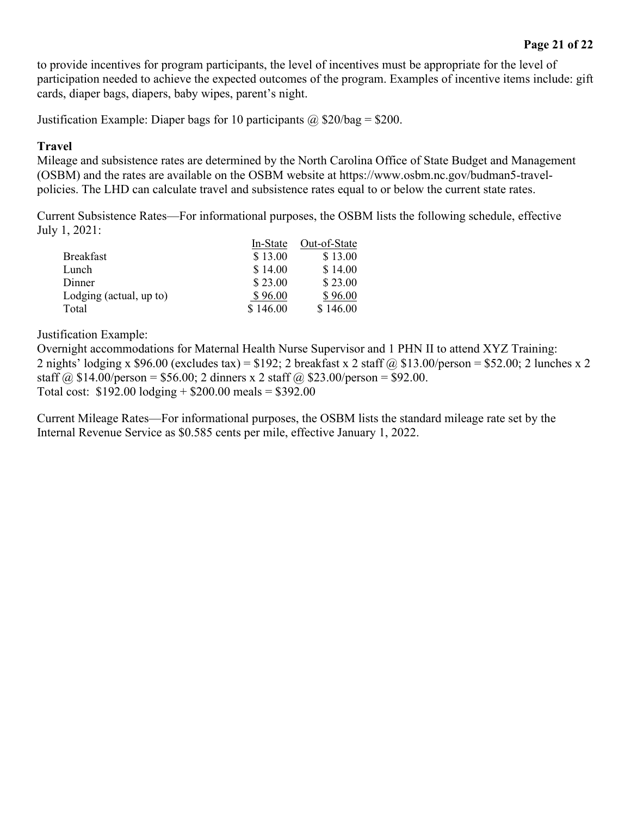to provide incentives for program participants, the level of incentives must be appropriate for the level of participation needed to achieve the expected outcomes of the program. Examples of incentive items include: gift cards, diaper bags, diapers, baby wipes, parent's night.

Justification Example: Diaper bags for 10 participants  $\omega$  \$20/bag = \$200.

#### **Travel**

Mileage and subsistence rates are determined by the North Carolina Office of State Budget and Management (OSBM) and the rates are available on the OSBM website at https://www.osbm.nc.gov/budman5-travelpolicies. The LHD can calculate travel and subsistence rates equal to or below the current state rates.

Current Subsistence Rates—For informational purposes, the OSBM lists the following schedule, effective July 1, 2021:

|                         | In-State | Out-of-State |
|-------------------------|----------|--------------|
| <b>Breakfast</b>        | \$13.00  | \$13.00      |
| Lunch                   | \$14.00  | \$14.00      |
| Dinner                  | \$23.00  | \$23.00      |
| Lodging (actual, up to) | \$96.00  | \$96.00      |
| Total                   | \$146.00 | \$146.00     |

Justification Example:

Overnight accommodations for Maternal Health Nurse Supervisor and 1 PHN II to attend XYZ Training: 2 nights' lodging x \$96.00 (excludes tax) = \$192; 2 breakfast x 2 staff  $\omega$  \$13.00/person = \$52.00; 2 lunches x 2 staff  $\omega$  \$14.00/person = \$56.00; 2 dinners x 2 staff  $\omega$  \$23.00/person = \$92.00. Total cost:  $$192.00$  lodging +  $$200.00$  meals =  $$392.00$ 

Current Mileage Rates—For informational purposes, the OSBM lists the standard mileage rate set by the Internal Revenue Service as \$0.585 cents per mile, effective January 1, 2022.